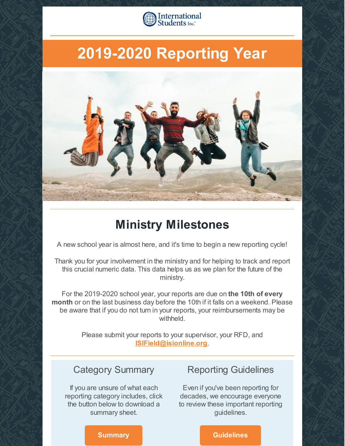

# **2019-2020 Reporting Year**



### **Ministry Milestones**

A new school year is almost here, and it's time to begin a new reporting cycle!

Thank you for your involvement in the ministry and for helping to track and report this crucial numeric data. This data helps us as we plan for the future of the ministry.

For the 2019-2020 school year, your reports are due on **the 10th of every month** or on the last business day before the 10th if it falls on a weekend. Please be aware that if you do not turn in your reports, your reimbursements may be withheld.

> Please submit your reports to your supervisor, your RFD, and **[ISIField@isionline.org](mailto:isifield@isionline.org)**.

### Category Summary

If you are unsure of what each reporting category includes, click the button below to download a summary sheet.

### Reporting Guidelines

Even if you've been reporting for decades, we encourage everyone to review these important reporting guidelines.

### **[Summary](https://files.constantcontact.com/222029ed301/f39591b6-b596-4c13-a5a5-92dcc6379ae1.docx) Calculation Construction Construction Construction Construction Construction Construction Construction**